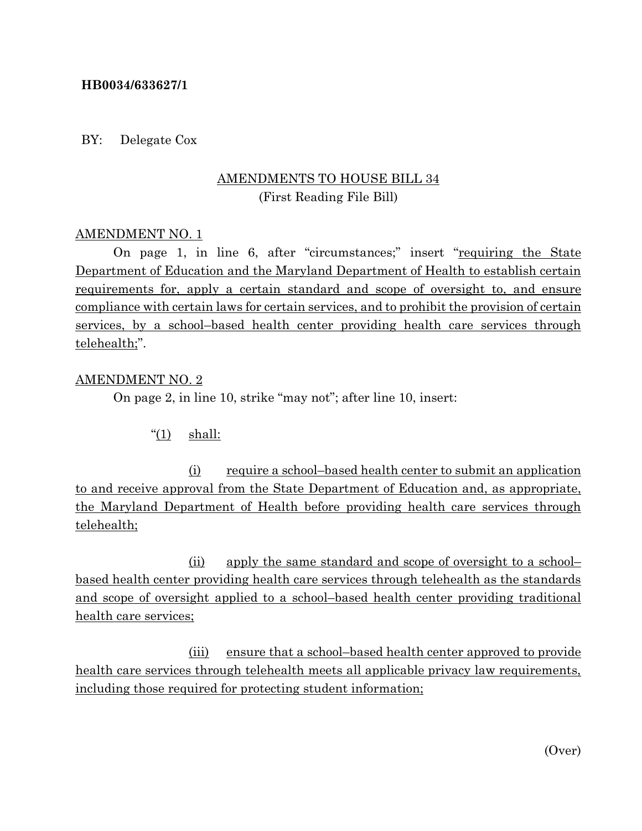### **HB0034/633627/1**

#### BY: Delegate Cox

# AMENDMENTS TO HOUSE BILL 34 (First Reading File Bill)

#### AMENDMENT NO. 1

On page 1, in line 6, after "circumstances;" insert "requiring the State Department of Education and the Maryland Department of Health to establish certain requirements for, apply a certain standard and scope of oversight to, and ensure compliance with certain laws for certain services, and to prohibit the provision of certain services, by a school–based health center providing health care services through telehealth;".

#### AMENDMENT NO. 2

On page 2, in line 10, strike "may not"; after line 10, insert:

" $(1)$  shall:

(i) require a school–based health center to submit an application to and receive approval from the State Department of Education and, as appropriate, the Maryland Department of Health before providing health care services through telehealth;

(ii) apply the same standard and scope of oversight to a school– based health center providing health care services through telehealth as the standards and scope of oversight applied to a school–based health center providing traditional health care services;

(iii) ensure that a school–based health center approved to provide health care services through telehealth meets all applicable privacy law requirements, including those required for protecting student information;

(Over)